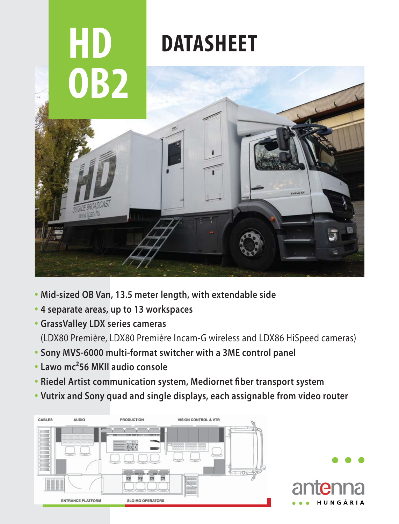

- **Mid-sized OB Van, 13.5 meter length, with extendable side**
- **4 separate areas, up to 13 workspaces**
- **GrassValley LDX series cameras**

(LDX80 Première, LDX80 Première Incam-G wireless and LDX86 HiSpeed cameras)

- **Sony MVS-6000 multi-format switcher with a 3ME control panel**
- **Lawo mc²56 MKII audio console**
- **Riedel Artist communication system, Mediornet fiber transport system**
- **Vutrix and Sony quad and single displays, each assignable from video router**